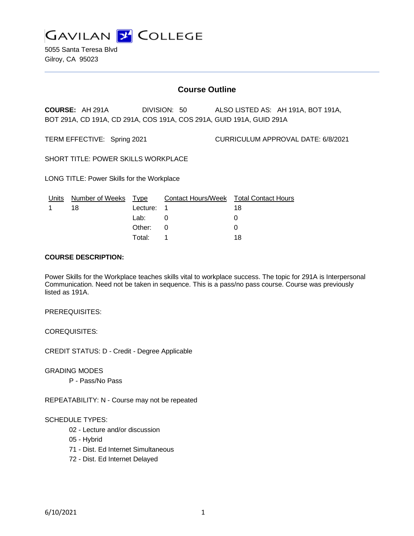

5055 Santa Teresa Blvd Gilroy, CA 95023

# **Course Outline**

**COURSE:** AH 291A DIVISION: 50 ALSO LISTED AS: AH 191A, BOT 191A, BOT 291A, CD 191A, CD 291A, COS 191A, COS 291A, GUID 191A, GUID 291A

TERM EFFECTIVE: Spring 2021 CURRICULUM APPROVAL DATE: 6/8/2021

SHORT TITLE: POWER SKILLS WORKPLACE

LONG TITLE: Power Skills for the Workplace

| Units | Number of Weeks Type |            | Contact Hours/Week Total Contact Hours |    |
|-------|----------------------|------------|----------------------------------------|----|
|       | 18                   | Lecture: 1 |                                        | 18 |
|       |                      | Lab:       |                                        |    |
|       |                      | Other: 0   |                                        |    |
|       |                      | Total:     |                                        | 18 |

#### **COURSE DESCRIPTION:**

Power Skills for the Workplace teaches skills vital to workplace success. The topic for 291A is Interpersonal Communication. Need not be taken in sequence. This is a pass/no pass course. Course was previously listed as 191A.

#### PREREQUISITES:

COREQUISITES:

CREDIT STATUS: D - Credit - Degree Applicable

GRADING MODES

P - Pass/No Pass

REPEATABILITY: N - Course may not be repeated

### SCHEDULE TYPES:

- 02 Lecture and/or discussion
- 05 Hybrid
- 71 Dist. Ed Internet Simultaneous
- 72 Dist. Ed Internet Delayed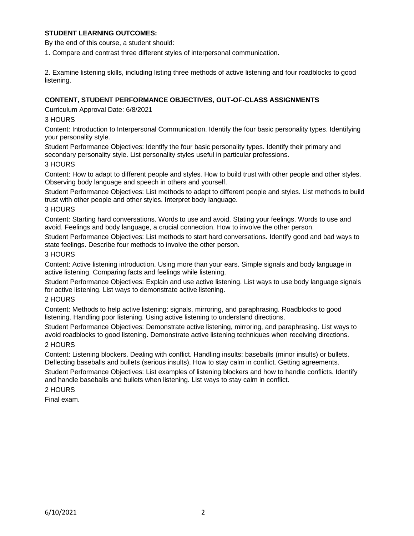# **STUDENT LEARNING OUTCOMES:**

By the end of this course, a student should:

1. Compare and contrast three different styles of interpersonal communication.

2. Examine listening skills, including listing three methods of active listening and four roadblocks to good listening.

# **CONTENT, STUDENT PERFORMANCE OBJECTIVES, OUT-OF-CLASS ASSIGNMENTS**

Curriculum Approval Date: 6/8/2021

# 3 HOURS

Content: Introduction to Interpersonal Communication. Identify the four basic personality types. Identifying your personality style.

Student Performance Objectives: Identify the four basic personality types. Identify their primary and secondary personality style. List personality styles useful in particular professions.

### 3 HOURS

Content: How to adapt to different people and styles. How to build trust with other people and other styles. Observing body language and speech in others and yourself.

Student Performance Objectives: List methods to adapt to different people and styles. List methods to build trust with other people and other styles. Interpret body language.

### 3 HOURS

Content: Starting hard conversations. Words to use and avoid. Stating your feelings. Words to use and avoid. Feelings and body language, a crucial connection. How to involve the other person.

Student Performance Objectives: List methods to start hard conversations. Identify good and bad ways to state feelings. Describe four methods to involve the other person.

### 3 HOURS

Content: Active listening introduction. Using more than your ears. Simple signals and body language in active listening. Comparing facts and feelings while listening.

Student Performance Objectives: Explain and use active listening. List ways to use body language signals for active listening. List ways to demonstrate active listening.

### 2 HOURS

Content: Methods to help active listening: signals, mirroring, and paraphrasing. Roadblocks to good listening. Handling poor listening. Using active listening to understand directions.

Student Performance Objectives: Demonstrate active listening, mirroring, and paraphrasing. List ways to avoid roadblocks to good listening. Demonstrate active listening techniques when receiving directions.

### 2 HOURS

Content: Listening blockers. Dealing with conflict. Handling insults: baseballs (minor insults) or bullets. Deflecting baseballs and bullets (serious insults). How to stay calm in conflict. Getting agreements.

Student Performance Objectives: List examples of listening blockers and how to handle conflicts. Identify and handle baseballs and bullets when listening. List ways to stay calm in conflict.

### 2 HOURS

Final exam.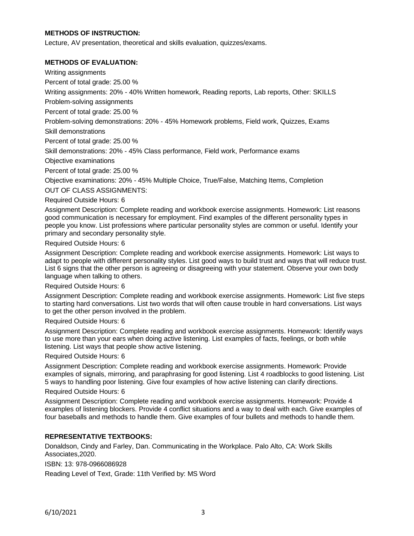#### **METHODS OF INSTRUCTION:**

Lecture, AV presentation, theoretical and skills evaluation, quizzes/exams.

#### **METHODS OF EVALUATION:**

Writing assignments

Percent of total grade: 25.00 %

Writing assignments: 20% - 40% Written homework, Reading reports, Lab reports, Other: SKILLS

Problem-solving assignments

Percent of total grade: 25.00 %

Problem-solving demonstrations: 20% - 45% Homework problems, Field work, Quizzes, Exams

Skill demonstrations

Percent of total grade: 25.00 %

Skill demonstrations: 20% - 45% Class performance, Field work, Performance exams

Objective examinations

Percent of total grade: 25.00 %

Objective examinations: 20% - 45% Multiple Choice, True/False, Matching Items, Completion

OUT OF CLASS ASSIGNMENTS:

Required Outside Hours: 6

Assignment Description: Complete reading and workbook exercise assignments. Homework: List reasons good communication is necessary for employment. Find examples of the different personality types in people you know. List professions where particular personality styles are common or useful. Identify your primary and secondary personality style.

Required Outside Hours: 6

Assignment Description: Complete reading and workbook exercise assignments. Homework: List ways to adapt to people with different personality styles. List good ways to build trust and ways that will reduce trust. List 6 signs that the other person is agreeing or disagreeing with your statement. Observe your own body language when talking to others.

Required Outside Hours: 6

Assignment Description: Complete reading and workbook exercise assignments. Homework: List five steps to starting hard conversations. List two words that will often cause trouble in hard conversations. List ways to get the other person involved in the problem.

#### Required Outside Hours: 6

Assignment Description: Complete reading and workbook exercise assignments. Homework: Identify ways to use more than your ears when doing active listening. List examples of facts, feelings, or both while listening. List ways that people show active listening.

#### Required Outside Hours: 6

Assignment Description: Complete reading and workbook exercise assignments. Homework: Provide examples of signals, mirroring, and paraphrasing for good listening. List 4 roadblocks to good listening. List 5 ways to handling poor listening. Give four examples of how active listening can clarify directions.

#### Required Outside Hours: 6

Assignment Description: Complete reading and workbook exercise assignments. Homework: Provide 4 examples of listening blockers. Provide 4 conflict situations and a way to deal with each. Give examples of four baseballs and methods to handle them. Give examples of four bullets and methods to handle them.

#### **REPRESENTATIVE TEXTBOOKS:**

Donaldson, Cindy and Farley, Dan. Communicating in the Workplace. Palo Alto, CA: Work Skills Associates,2020.

ISBN: 13: 978-0966086928

Reading Level of Text, Grade: 11th Verified by: MS Word